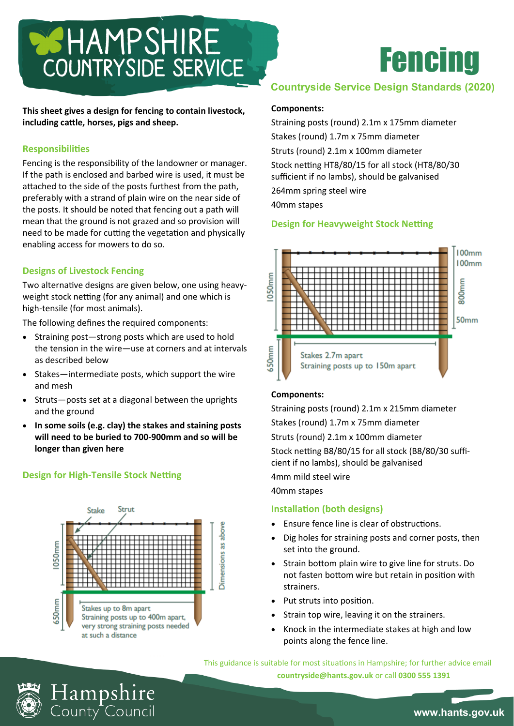# COUNTRYSIDE SERVICE

**This sheet gives a design for fencing to contain livestock, including cattle, horses, pigs and sheep.**

# **Responsibilities**

Fencing is the responsibility of the landowner or manager. If the path is enclosed and barbed wire is used, it must be attached to the side of the posts furthest from the path, preferably with a strand of plain wire on the near side of the posts. It should be noted that fencing out a path will mean that the ground is not grazed and so provision will need to be made for cutting the vegetation and physically enabling access for mowers to do so.

# **Designs of Livestock Fencing**

Two alternative designs are given below, one using heavyweight stock netting (for any animal) and one which is high-tensile (for most animals).

The following defines the required components:

- Straining post—strong posts which are used to hold the tension in the wire—use at corners and at intervals as described below
- Stakes—intermediate posts, which support the wire and mesh
- Struts—posts set at a diagonal between the uprights and the ground
- **In some soils (e.g. clay) the stakes and staining posts will need to be buried to 700-900mm and so will be longer than given here**

# **Design for High-Tensile Stock Netting**

Hampshire<br><sub>County</sub> Council



# Fencing

# **Countryside Service Design Standards (2020)**

#### **Components:**

Straining posts (round) 2.1m x 175mm diameter Stakes (round) 1.7m x 75mm diameter Struts (round) 2.1m x 100mm diameter Stock netting HT8/80/15 for all stock (HT8/80/30 sufficient if no lambs), should be galvanised 264mm spring steel wire 40mm stapes

## **Design for Heavyweight Stock Netting**



### **Components:**

Straining posts (round) 2.1m x 215mm diameter Stakes (round) 1.7m x 75mm diameter Struts (round) 2.1m x 100mm diameter Stock netting B8/80/15 for all stock (B8/80/30 sufficient if no lambs), should be galvanised 4mm mild steel wire

40mm stapes

### **Installation (both designs)**

- Ensure fence line is clear of obstructions.
- Dig holes for straining posts and corner posts, then set into the ground.
- Strain bottom plain wire to give line for struts. Do not fasten bottom wire but retain in position with strainers.
- Put struts into position.
- Strain top wire, leaving it on the strainers.
- Knock in the intermediate stakes at high and low points along the fence line.

This guidance is suitable for most situations in Hampshire; for further advice email **countryside@hants.gov.uk** or call **0300 555 1391**